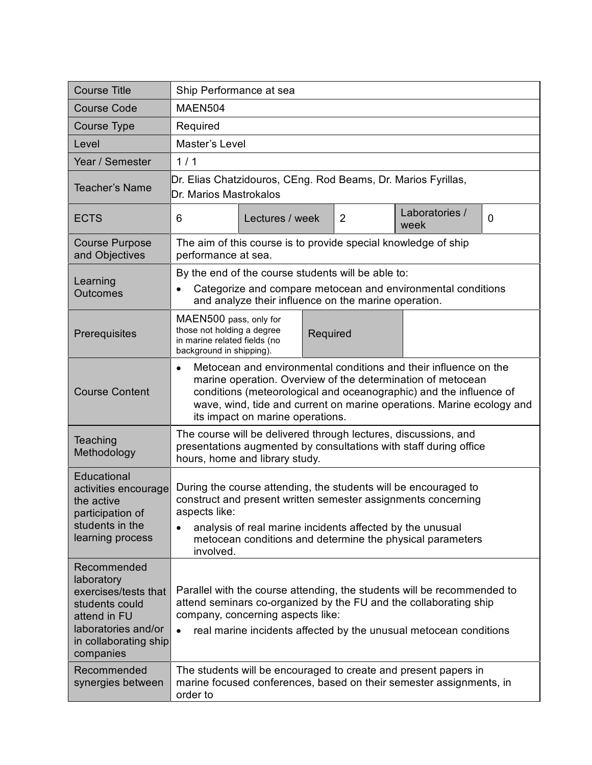| <b>Course Title</b>                                                                                                                              | Ship Performance at sea                                                                                                                                                                                                                                                                                                         |                 |                |                        |   |
|--------------------------------------------------------------------------------------------------------------------------------------------------|---------------------------------------------------------------------------------------------------------------------------------------------------------------------------------------------------------------------------------------------------------------------------------------------------------------------------------|-----------------|----------------|------------------------|---|
| <b>Course Code</b>                                                                                                                               | MAEN504                                                                                                                                                                                                                                                                                                                         |                 |                |                        |   |
| Course Type                                                                                                                                      | Required                                                                                                                                                                                                                                                                                                                        |                 |                |                        |   |
| Level                                                                                                                                            | Master's Level                                                                                                                                                                                                                                                                                                                  |                 |                |                        |   |
| Year / Semester                                                                                                                                  | 1/1                                                                                                                                                                                                                                                                                                                             |                 |                |                        |   |
| <b>Teacher's Name</b>                                                                                                                            | Dr. Elias Chatzidouros, CEng. Rod Beams, Dr. Marios Fyrillas,<br>Dr. Marios Mastrokalos                                                                                                                                                                                                                                         |                 |                |                        |   |
| <b>ECTS</b>                                                                                                                                      | 6                                                                                                                                                                                                                                                                                                                               | Lectures / week | $\overline{2}$ | Laboratories /<br>week | 0 |
| <b>Course Purpose</b><br>and Objectives                                                                                                          | The aim of this course is to provide special knowledge of ship<br>performance at sea.                                                                                                                                                                                                                                           |                 |                |                        |   |
| Learning<br>Outcomes                                                                                                                             | By the end of the course students will be able to:<br>Categorize and compare metocean and environmental conditions<br>and analyze their influence on the marine operation.                                                                                                                                                      |                 |                |                        |   |
| Prerequisites                                                                                                                                    | MAEN500 pass, only for<br>those not holding a degree<br>Required<br>in marine related fields (no<br>background in shipping).                                                                                                                                                                                                    |                 |                |                        |   |
| <b>Course Content</b>                                                                                                                            | Metocean and environmental conditions and their influence on the<br>$\bullet$<br>marine operation. Overview of the determination of metocean<br>conditions (meteorological and oceanographic) and the influence of<br>wave, wind, tide and current on marine operations. Marine ecology and<br>its impact on marine operations. |                 |                |                        |   |
| Teaching<br>Methodology                                                                                                                          | The course will be delivered through lectures, discussions, and<br>presentations augmented by consultations with staff during office<br>hours, home and library study.                                                                                                                                                          |                 |                |                        |   |
| Educational<br>activities encourage<br>the active<br>participation of<br>students in the<br>learning process                                     | During the course attending, the students will be encouraged to<br>construct and present written semester assignments concerning<br>aspects like:<br>analysis of real marine incidents affected by the unusual<br>metocean conditions and determine the physical parameters<br>involved.                                        |                 |                |                        |   |
| Recommended<br>laboratory<br>exercises/tests that<br>students could<br>attend in FU<br>laboratories and/or<br>in collaborating ship<br>companies | Parallel with the course attending, the students will be recommended to<br>attend seminars co-organized by the FU and the collaborating ship<br>company, concerning aspects like:<br>real marine incidents affected by the unusual metocean conditions<br>$\bullet$                                                             |                 |                |                        |   |
| Recommended<br>synergies between                                                                                                                 | The students will be encouraged to create and present papers in<br>marine focused conferences, based on their semester assignments, in<br>order to                                                                                                                                                                              |                 |                |                        |   |